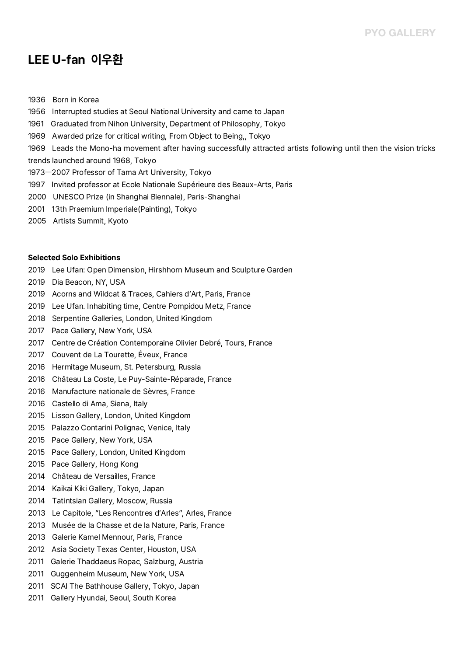# **LEE U-fan 이우환**

- 1936 Born in Korea
- 1956 Interrupted studies at Seoul National University and came to Japan
- 1961 Graduated from Nihon University, Department of Philosophy, Tokyo
- 1969 Awarded prize for critical writing, From Object to Being,, Tokyo
- 1969 Leads the Mono-ha movement after having successfully attracted artists following until then the vision tricks
- trends launched around 1968, Tokyo
- 1973ㅡ2007 Professor of Tama Art University, Tokyo
- 1997 Invited professor at Ecole Nationale Supérieure des Beaux-Arts, Paris
- 2000 UNESCO Prize (in Shanghai Biennale), Paris-Shanghai
- 2001 13th Praemium Imperiale(Painting), Tokyo
- 2005 Artists Summit, Kyoto

#### **Selected Solo Exhibitions**

- 2019 Lee Ufan: Open Dimension, Hirshhorn Museum and Sculpture Garden
- 2019 Dia Beacon, NY, USA
- 2019 Acorns and Wildcat & Traces, Cahiers d'Art, Paris, France
- 2019 Lee Ufan. Inhabiting time, Centre Pompidou Metz, France
- 2018 Serpentine Galleries, London, United Kingdom
- 2017 Pace Gallery, New York, USA
- 2017 Centre de Création Contemporaine Olivier Debré, Tours, France
- 2017 Couvent de La Tourette, Éveux, France
- 2016 Hermitage Museum, St. Petersburg, Russia
- 2016 Château La Coste, Le Puy-Sainte-Réparade, France
- 2016 Manufacture nationale de Sèvres, France
- 2016 Castello di Ama, Siena, Italy
- 2015 Lisson Gallery, London, United Kingdom
- 2015 Palazzo Contarini Polignac, Venice, Italy
- 2015 Pace Gallery, New York, USA
- 2015 Pace Gallery, London, United Kingdom
- 2015 Pace Gallery, Hong Kong
- 2014 Château de Versailles, France
- 2014 Kaikai Kiki Gallery, Tokyo, Japan
- 2014 Tatintsian Gallery, Moscow, Russia
- 2013 Le Capitole, "Les Rencontres d'Arles", Arles, France
- 2013 Musée de la Chasse et de la Nature, Paris, France
- 2013 Galerie Kamel Mennour, Paris, France
- 2012 Asia Society Texas Center, Houston, USA
- 2011 Galerie Thaddaeus Ropac, Salzburg, Austria
- 2011 Guggenheim Museum, New York, USA
- 2011 SCAI The Bathhouse Gallery, Tokyo, Japan
- 2011 Gallery Hyundai, Seoul, South Korea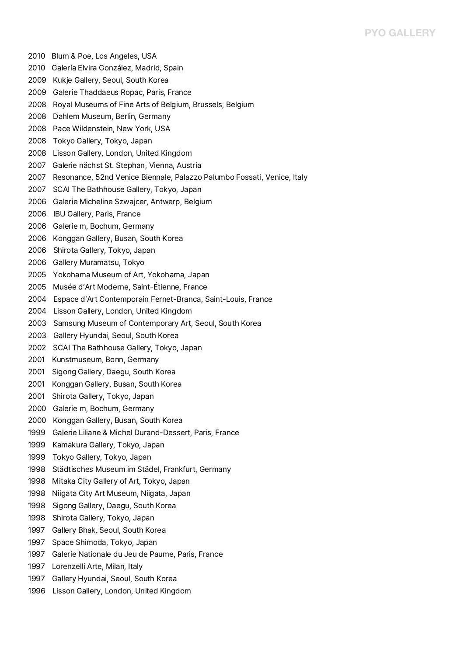- 2010 Blum & Poe, Los Angeles, USA
- 2010 Galería Elvira González, Madrid, Spain
- 2009 Kukje Gallery, Seoul, South Korea
- 2009 Galerie Thaddaeus Ropac, Paris, France
- 2008 Royal Museums of Fine Arts of Belgium, Brussels, Belgium
- 2008 Dahlem Museum, Berlin, Germany
- 2008 Pace Wildenstein, New York, USA
- 2008 Tokyo Gallery, Tokyo, Japan
- 2008 Lisson Gallery, London, United Kingdom
- 2007 Galerie nächst St. Stephan, Vienna, Austria
- 2007 Resonance, 52nd Venice Biennale, Palazzo Palumbo Fossati, Venice, Italy
- 2007 SCAI The Bathhouse Gallery, Tokyo, Japan
- 2006 Galerie Micheline Szwajcer, Antwerp, Belgium
- 2006 IBU Gallery, Paris, France
- 2006 Galerie m, Bochum, Germany
- 2006 Konggan Gallery, Busan, South Korea
- 2006 Shirota Gallery, Tokyo, Japan
- 2006 Gallery Muramatsu, Tokyo
- 2005 Yokohama Museum of Art, Yokohama, Japan
- 2005 Musée d'Art Moderne, Saint-Étienne, France
- 2004 Espace d'Art Contemporain Fernet-Branca, Saint-Louis, France
- 2004 Lisson Gallery, London, United Kingdom
- 2003 Samsung Museum of Contemporary Art, Seoul, South Korea
- 2003 Gallery Hyundai, Seoul, South Korea
- 2002 SCAI The Bathhouse Gallery, Tokyo, Japan
- 2001 Kunstmuseum, Bonn, Germany
- 2001 Sigong Gallery, Daegu, South Korea
- 2001 Konggan Gallery, Busan, South Korea
- 2001 Shirota Gallery, Tokyo, Japan
- 2000 Galerie m, Bochum, Germany
- 2000 Konggan Gallery, Busan, South Korea
- 1999 Galerie Liliane & Michel Durand-Dessert, Paris, France
- 1999 Kamakura Gallery, Tokyo, Japan
- 1999 Tokyo Gallery, Tokyo, Japan
- 1998 Städtisches Museum im Städel, Frankfurt, Germany
- 1998 Mitaka City Gallery of Art, Tokyo, Japan
- 1998 Niigata City Art Museum, Niigata, Japan
- 1998 Sigong Gallery, Daegu, South Korea
- 1998 Shirota Gallery, Tokyo, Japan
- 1997 Gallery Bhak, Seoul, South Korea
- 1997 Space Shimoda, Tokyo, Japan
- 1997 Galerie Nationale du Jeu de Paume, Paris, France
- 1997 Lorenzelli Arte, Milan, Italy
- 1997 Gallery Hyundai, Seoul, South Korea
- 1996 Lisson Gallery, London, United Kingdom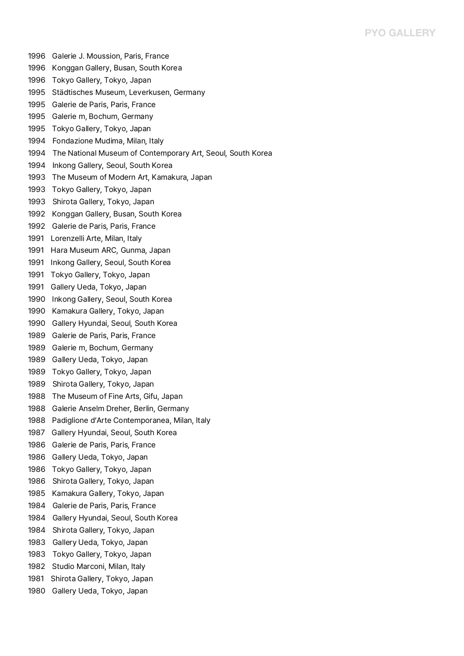- 1996 Galerie J. Moussion, Paris, France
- 1996 Konggan Gallery, Busan, South Korea
- 1996 Tokyo Gallery, Tokyo, Japan
- 1995 Städtisches Museum, Leverkusen, Germany
- 1995 Galerie de Paris, Paris, France
- 1995 Galerie m, Bochum, Germany
- 1995 Tokyo Gallery, Tokyo, Japan
- 1994 Fondazione Mudima, Milan, Italy
- 1994 The National Museum of Contemporary Art, Seoul, South Korea
- 1994 Inkong Gallery, Seoul, South Korea
- 1993 The Museum of Modern Art, Kamakura, Japan
- 1993 Tokyo Gallery, Tokyo, Japan
- 1993 Shirota Gallery, Tokyo, Japan
- 1992 Konggan Gallery, Busan, South Korea
- 1992 Galerie de Paris, Paris, France
- 1991 Lorenzelli Arte, Milan, Italy
- 1991 Hara Museum ARC, Gunma, Japan
- 1991 Inkong Gallery, Seoul, South Korea
- 1991 Tokyo Gallery, Tokyo, Japan
- 1991 Gallery Ueda, Tokyo, Japan
- 1990 Inkong Gallery, Seoul, South Korea
- 1990 Kamakura Gallery, Tokyo, Japan
- 1990 Gallery Hyundai, Seoul, South Korea
- 1989 Galerie de Paris, Paris, France
- 1989 Galerie m, Bochum, Germany
- 1989 Gallery Ueda, Tokyo, Japan
- 1989 Tokyo Gallery, Tokyo, Japan
- 1989 Shirota Gallery, Tokyo, Japan
- 1988 The Museum of Fine Arts, Gifu, Japan
- 1988 Galerie Anselm Dreher, Berlin, Germany
- 1988 Padiglione d'Arte Contemporanea, Milan, Italy
- 1987 Gallery Hyundai, Seoul, South Korea
- 1986 Galerie de Paris, Paris, France
- 1986 Gallery Ueda, Tokyo, Japan
- 1986 Tokyo Gallery, Tokyo, Japan
- 1986 Shirota Gallery, Tokyo, Japan
- 1985 Kamakura Gallery, Tokyo, Japan
- 1984 Galerie de Paris, Paris, France
- 1984 Gallery Hyundai, Seoul, South Korea
- 1984 Shirota Gallery, Tokyo, Japan
- 1983 Gallery Ueda, Tokyo, Japan
- 1983 Tokyo Gallery, Tokyo, Japan
- 1982 Studio Marconi, Milan, Italy
- 1981 Shirota Gallery, Tokyo, Japan
- 1980 Gallery Ueda, Tokyo, Japan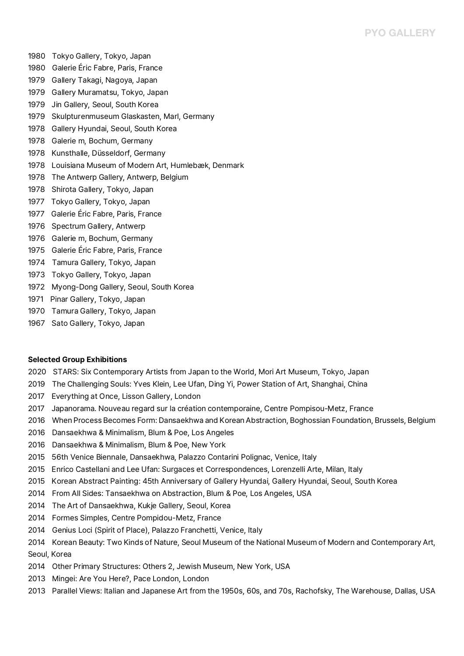- 1980 Tokyo Gallery, Tokyo, Japan
- 1980 Galerie Éric Fabre, Paris, France
- 1979 Gallery Takagi, Nagoya, Japan
- 1979 Gallery Muramatsu, Tokyo, Japan
- 1979 Jin Gallery, Seoul, South Korea
- 1979 Skulpturenmuseum Glaskasten, Marl, Germany
- 1978 Gallery Hyundai, Seoul, South Korea
- 1978 Galerie m, Bochum, Germany
- 1978 Kunsthalle, Düsseldorf, Germany
- 1978 Louisiana Museum of Modern Art, Humlebæk, Denmark
- 1978 The Antwerp Gallery, Antwerp, Belgium
- 1978 Shirota Gallery, Tokyo, Japan
- 1977 Tokyo Gallery, Tokyo, Japan
- 1977 Galerie Éric Fabre, Paris, France
- 1976 Spectrum Gallery, Antwerp
- 1976 Galerie m, Bochum, Germany
- 1975 Galerie Éric Fabre, Paris, France
- 1974 Tamura Gallery, Tokyo, Japan
- 1973 Tokyo Gallery, Tokyo, Japan
- 1972 Myong-Dong Gallery, Seoul, South Korea
- 1971 Pinar Gallery, Tokyo, Japan
- 1970 Tamura Gallery, Tokyo, Japan
- 1967 Sato Gallery, Tokyo, Japan

#### **Selected Group Exhibitions**

- 2020 STARS: Six Contemporary Artists from Japan to the World, Mori Art Museum, Tokyo, Japan
- 2019 The Challenging Souls: Yves Klein, Lee Ufan, Ding Yi, Power Station of Art, Shanghai, China
- 2017 Everything at Once, Lisson Gallery, London
- 2017 Japanorama. Nouveau regard sur la création contemporaine, Centre Pompisou-Metz, France
- 2016 When Process Becomes Form: Dansaekhwa and Korean Abstraction, Boghossian Foundation, Brussels, Belgium
- 2016 Dansaekhwa & Minimalism, Blum & Poe, Los Angeles
- 2016 Dansaekhwa & Minimalism, Blum & Poe, New York
- 2015 56th Venice Biennale, Dansaekhwa, Palazzo Contarini Polignac, Venice, Italy
- 2015 Enrico Castellani and Lee Ufan: Surgaces et Correspondences, Lorenzelli Arte, Milan, Italy
- 2015 Korean Abstract Painting: 45th Anniversary of Gallery Hyundai, Gallery Hyundai, Seoul, South Korea
- 2014 From All Sides: Tansaekhwa on Abstraction, Blum & Poe, Los Angeles, USA
- 2014 The Art of Dansaekhwa, Kukje Gallery, Seoul, Korea
- 2014 Formes Simples, Centre Pompidou-Metz, France
- 2014 Genius Loci (Spirit of Place), Palazzo Franchetti, Venice, Italy
- 2014 Korean Beauty: Two Kinds of Nature, Seoul Museum of the National Museum of Modern and Contemporary Art, Seoul, Korea
- 2014 Other Primary Structures: Others 2, Jewish Museum, New York, USA
- 2013 Mingei: Are You Here?, Pace London, London
- 2013 Parallel Views: Italian and Japanese Art from the 1950s, 60s, and 70s, Rachofsky, The Warehouse, Dallas, USA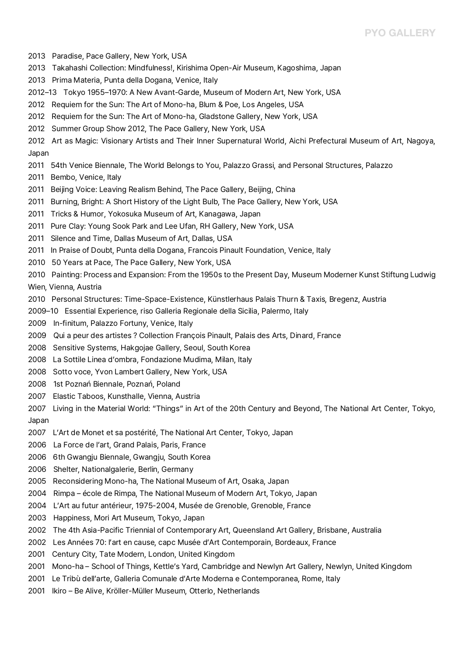- 2013 Paradise, Pace Gallery, New York, USA
- 2013 Takahashi Collection: Mindfulness!, Kirishima Open-Air Museum, Kagoshima, Japan
- 2013 Prima Materia, Punta della Dogana, Venice, Italy
- 2012–13 Tokyo 1955–1970: A New Avant-Garde, Museum of Modern Art, New York, USA
- 2012 Requiem for the Sun: The Art of Mono-ha, Blum & Poe, Los Angeles, USA
- 2012 Requiem for the Sun: The Art of Mono-ha, Gladstone Gallery, New York, USA
- 2012 Summer Group Show 2012, The Pace Gallery, New York, USA
- 2012 Art as Magic: Visionary Artists and Their Inner Supernatural World, Aichi Prefectural Museum of Art, Nagoya, Japan
- 2011 54th Venice Biennale, The World Belongs to You, Palazzo Grassi, and Personal Structures, Palazzo
- 2011 Bembo, Venice, Italy
- 2011 Beijing Voice: Leaving Realism Behind, The Pace Gallery, Beijing, China
- 2011 Burning, Bright: A Short History of the Light Bulb, The Pace Gallery, New York, USA
- 2011 Tricks & Humor, Yokosuka Museum of Art, Kanagawa, Japan
- 2011 Pure Clay: Young Sook Park and Lee Ufan, RH Gallery, New York, USA
- 2011 Silence and Time, Dallas Museum of Art, Dallas, USA
- 2011 In Praise of Doubt, Punta della Dogana, Francois Pinault Foundation, Venice, Italy
- 2010 50 Years at Pace, The Pace Gallery, New York, USA
- 2010 Painting: Process and Expansion: From the 1950s to the Present Day, Museum Moderner Kunst Stiftung Ludwig<br>Wien, Vienna, Austria
- 2010 Personal Structures: Time-Space-Existence, Künstlerhaus Palais Thurn & Taxis, Bregenz, Austria
- 2009–10 Essential Experience, riso Galleria Regionale della Sicilia, Palermo, Italy
- 2009 In-finitum, Palazzo Fortuny, Venice, Italy
- 2009 Qui a peur des artistes ? Collection François Pinault, Palais des Arts, Dinard, France
- 2008 Sensitive Systems, Hakgojae Gallery, Seoul, South Korea
- 2008 La Sottile Linea d'ombra, Fondazione Mudima, Milan, Italy
- 2008 Sotto voce, Yvon Lambert Gallery, New York, USA
- 2008 1st Poznań Biennale, Poznań, Poland
- 2007 Elastic Taboos, Kunsthalle, Vienna, Austria

2007 Living in the Material World: "Things" in Art of the 20th Century and Beyond, The National Art Center, Tokyo, Japan

- 2007 L'Art de Monet et sa postérité, The National Art Center, Tokyo, Japan
- 2006 La Force de l'art, Grand Palais, Paris, France
- 2006 6th Gwangju Biennale, Gwangju, South Korea
- 2006 Shelter, Nationalgalerie, Berlin, Germany
- 2005 Reconsidering Mono-ha, The National Museum of Art, Osaka, Japan
- 2004 Rimpa école de Rimpa, The National Museum of Modern Art, Tokyo, Japan
- 2004 L'Art au futur antérieur, 1975-2004, Musée de Grenoble, Grenoble, France
- 2003 Happiness, Mori Art Museum, Tokyo, Japan
- 2002 The 4th Asia-Pacific Triennial of Contemporary Art, Queensland Art Gallery, Brisbane, Australia
- 2002 Les Années 70: l'art en cause, capc Musée d'Art Contemporain, Bordeaux, France
- 2001 Century City, Tate Modern, London, United Kingdom
- 2001 Mono-ha School of Things, Kettle's Yard, Cambridge and Newlyn Art Gallery, Newlyn, United Kingdom
- 2001 Le Tribù dell'arte, Galleria Comunale d'Arte Moderna e Contemporanea, Rome, Italy
- 2001 Ikiro Be Alive, Kröller-Müller Museum, Otterlo, Netherlands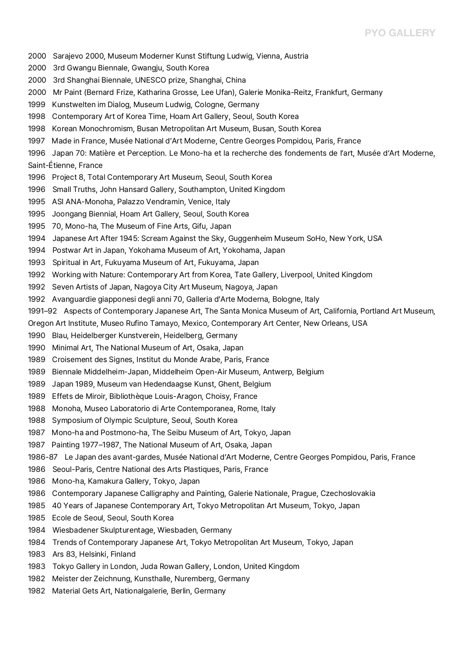- 2000 Sarajevo 2000, Museum Moderner Kunst Stiftung Ludwig, Vienna, Austria
- 2000 3rd Gwangu Biennale, Gwangju, South Korea
- 2000 3rd Shanghai Biennale, UNESCO prize, Shanghai, China
- 2000 Mr Paint (Bernard Frize, Katharina Grosse, Lee Ufan), Galerie Monika-Reitz, Frankfurt, Germany
- 1999 Kunstwelten im Dialog, Museum Ludwig, Cologne, Germany
- 1998 Contemporary Art of Korea Time, Hoam Art Gallery, Seoul, South Korea
- 1998 Korean Monochromism, Busan Metropolitan Art Museum, Busan, South Korea
- 1997 Made in France, Musée National d'Art Moderne, Centre Georges Pompidou, Paris, France
- 1996 Japan 70: Matière et Perception. Le Mono-ha et la recherche des fondements de l'art, Musée d'Art Moderne, Saint-Étienne, France
- 1996 Project 8, Total Contemporary Art Museum, Seoul, South Korea
- 1996 Small Truths, John Hansard Gallery, Southampton, United Kingdom
- 1995 ASI ANA-Monoha, Palazzo Vendramin, Venice, Italy
- 1995 Joongang Biennial, Hoam Art Gallery, Seoul, South Korea
- 1995 70, Mono-ha, The Museum of Fine Arts, Gifu, Japan
- 1994 Japanese Art After 1945: Scream Against the Sky, Guggenheim Museum SoHo, New York, USA
- 1994 Postwar Art in Japan, Yokohama Museum of Art, Yokohama, Japan
- 1993 Spiritual in Art, Fukuyama Museum of Art, Fukuyama, Japan
- 1992 Working with Nature: Contemporary Art from Korea, Tate Gallery, Liverpool, United Kingdom
- 1992 Seven Artists of Japan, Nagoya City Art Museum, Nagoya, Japan
- 1992 Avanguardie giapponesi degli anni 70, Galleria d'Arte Moderna, Bologne, Italy
- 1991–92 Aspects of Contemporary Japanese Art, The Santa Monica Museum of Art, California, Portland Art Museum,<br>Oregon Art Institute, Museo Rufino Tamayo, Mexico, Contemporary Art Center, New Orleans, USA
- 
- 1990 Blau, Heidelberger Kunstverein, Heidelberg, Germany
- 1990 Minimal Art, The National Museum of Art, Osaka, Japan
- 1989 Croisement des Signes, Institut du Monde Arabe, Paris, France
- 1989 Biennale Middelheim-Japan, Middelheim Open-Air Museum, Antwerp, Belgium
- 1989 Japan 1989, Museum van Hedendaagse Kunst, Ghent, Belgium
- 1989 Effets de Miroir, Bibliothèque Louis-Aragon, Choisy, France
- 1988 Monoha, Museo Laboratorio di Arte Contemporanea, Rome, Italy
- 1988 Symposium of Olympic Sculpture, Seoul, South Korea
- 1987 Mono-ha and Postmono-ha, The Seibu Museum of Art, Tokyo, Japan
- 1987 Painting 1977–1987, The National Museum of Art, Osaka, Japan
- 1986-87 Le Japan des avant-gardes, Musée National d'Art Moderne, Centre Georges Pompidou, Paris, France
- 1986 Seoul-Paris, Centre National des Arts Plastiques, Paris, France
- 1986 Mono-ha, Kamakura Gallery, Tokyo, Japan
- 1986 Contemporary Japanese Calligraphy and Painting, Galerie Nationale, Prague, Czechoslovakia
- 1985 40 Years of Japanese Contemporary Art, Tokyo Metropolitan Art Museum, Tokyo, Japan
- 1985 Ecole de Seoul, Seoul, South Korea
- 1984 Wiesbadener Skulpturentage, Wiesbaden, Germany
- 1984 Trends of Contemporary Japanese Art, Tokyo Metropolitan Art Museum, Tokyo, Japan
- 1983 Ars 83, Helsinki, Finland
- 1983 Tokyo Gallery in London, Juda Rowan Gallery, London, United Kingdom
- 1982 Meister der Zeichnung, Kunsthalle, Nuremberg, Germany
- 1982 Material Gets Art, Nationalgalerie, Berlin, Germany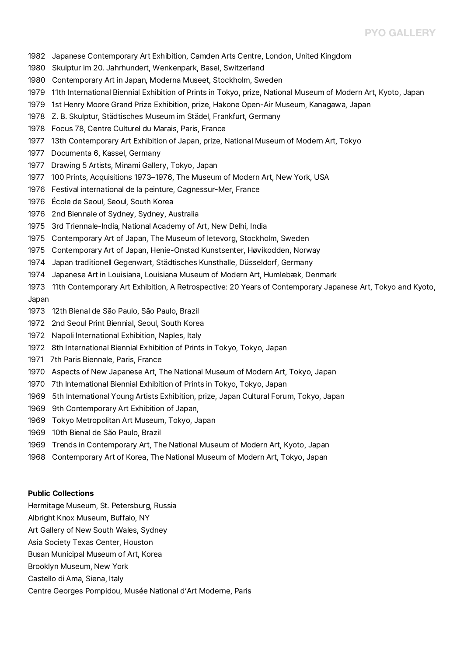- 1982 Japanese Contemporary Art Exhibition, Camden Arts Centre, London, United Kingdom
- 1980 Skulptur im 20. Jahrhundert, Wenkenpark, Basel, Switzerland
- 1980 Contemporary Art in Japan, Moderna Museet, Stockholm, Sweden
- 1979 11th International Biennial Exhibition of Prints in Tokyo, prize, National Museum of Modern Art, Kyoto, Japan
- 1979 1st Henry Moore Grand Prize Exhibition, prize, Hakone Open-Air Museum, Kanagawa, Japan
- 1978 Z. B. Skulptur, Städtisches Museum im Städel, Frankfurt, Germany
- 1978 Focus 78, Centre Culturel du Marais, Paris, France
- 1977 13th Contemporary Art Exhibition of Japan, prize, National Museum of Modern Art, Tokyo
- 1977 Documenta 6, Kassel, Germany
- 1977 Drawing 5 Artists, Minami Gallery, Tokyo, Japan
- 1977 100 Prints, Acquisitions 1973–1976, The Museum of Modern Art, New York, USA
- 1976 Festival international de la peinture, Cagnessur-Mer, France
- 1976 École de Seoul, Seoul, South Korea
- 1976 2nd Biennale of Sydney, Sydney, Australia
- 1975 3rd Triennale-India, National Academy of Art, New Delhi, India
- 1975 Contemporary Art of Japan, The Museum of Ietevorg, Stockholm, Sweden
- 1975 Contemporary Art of Japan, Henie-Onstad Kunstsenter, Høvikodden, Norway
- 1974 Japan traditionell Gegenwart, Städtisches Kunsthalle, Düsseldorf, Germany
- 1974 Japanese Art in Louisiana, Louisiana Museum of Modern Art, Humlebæk, Denmark
- 1973 11th Contemporary Art Exhibition, A Retrospective: 20 Years of Contemporary Japanese Art, Tokyo and Kyoto,<br>Japan
- 1973 12th Bienal de São Paulo, São Paulo, Brazil
- 1972 2nd Seoul Print Biennial, Seoul, South Korea
- 1972 Napoli International Exhibition, Naples, Italy
- 1972 8th International Biennial Exhibition of Prints in Tokyo, Tokyo, Japan
- 1971 7th Paris Biennale, Paris, France
- 1970 Aspects of New Japanese Art, The National Museum of Modern Art, Tokyo, Japan
- 1970 7th International Biennial Exhibition of Prints in Tokyo, Tokyo, Japan
- 1969 5th International Young Artists Exhibition, prize, Japan Cultural Forum, Tokyo, Japan
- 1969 9th Contemporary Art Exhibition of Japan,
- 1969 Tokyo Metropolitan Art Museum, Tokyo, Japan
- 1969 10th Bienal de São Paulo, Brazil
- 1969 Trends in Contemporary Art, The National Museum of Modern Art, Kyoto, Japan
- 1968 Contemporary Art of Korea, The National Museum of Modern Art, Tokyo, Japan

#### **Public Collections**

- Hermitage Museum, St. Petersburg, Russia
- Albright Knox Museum, Buffalo, NY
- Art Gallery of New South Wales, Sydney
- Asia Society Texas Center, Houston
- Busan Municipal Museum of Art, Korea
- Brooklyn Museum, New York
- Castello di Ama, Siena, Italy
- Centre Georges Pompidou, Musée National d'Art Moderne, Paris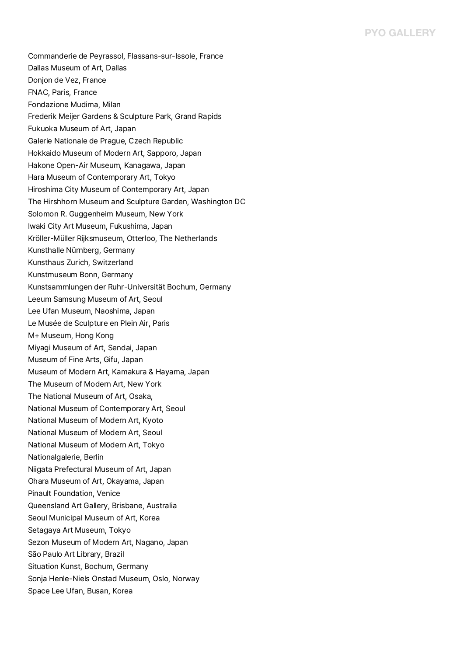Commanderie de Peyrassol, Flassans-sur-Issole, France Dallas Museum of Art, Dallas Donjon de Vez, France FNAC, Paris, France Fondazione Mudima, Milan Frederik Meijer Gardens & Sculpture Park, Grand Rapids Fukuoka Museum of Art, Japan Galerie Nationale de Prague, Czech Republic Hokkaido Museum of Modern Art, Sapporo, Japan Hakone Open-Air Museum, Kanagawa, Japan Hara Museum of Contemporary Art, Tokyo Hiroshima City Museum of Contemporary Art, Japan The Hirshhorn Museum and Sculpture Garden, Washington DC Solomon R. Guggenheim Museum, New York Iwaki City Art Museum, Fukushima, Japan Kröller-Müller Rijksmuseum, Otterloo, The Netherlands Kunsthalle Nürnberg, Germany Kunsthaus Zurich, Switzerland Kunstmuseum Bonn, Germany Kunstsammlungen der Ruhr-Universität Bochum, Germany Leeum Samsung Museum of Art, Seoul Lee Ufan Museum, Naoshima, Japan Le Musée de Sculpture en Plein Air, Paris M+ Museum, Hong Kong Miyagi Museum of Art, Sendai, Japan Museum of Fine Arts, Gifu, Japan Museum of Modern Art, Kamakura & Hayama, Japan The Museum of Modern Art, New York The National Museum of Art, Osaka, National Museum of Contemporary Art, Seoul National Museum of Modern Art, Kyoto National Museum of Modern Art, Seoul National Museum of Modern Art, Tokyo Nationalgalerie, Berlin Niigata Prefectural Museum of Art, Japan Ohara Museum of Art, Okayama, Japan Pinault Foundation, Venice Queensland Art Gallery, Brisbane, Australia Seoul Municipal Museum of Art, Korea Setagaya Art Museum, Tokyo Sezon Museum of Modern Art, Nagano, Japan São Paulo Art Library, Brazil Situation Kunst, Bochum, Germany Sonja Henle-Niels Onstad Museum, Oslo, Norway Space Lee Ufan, Busan, Korea